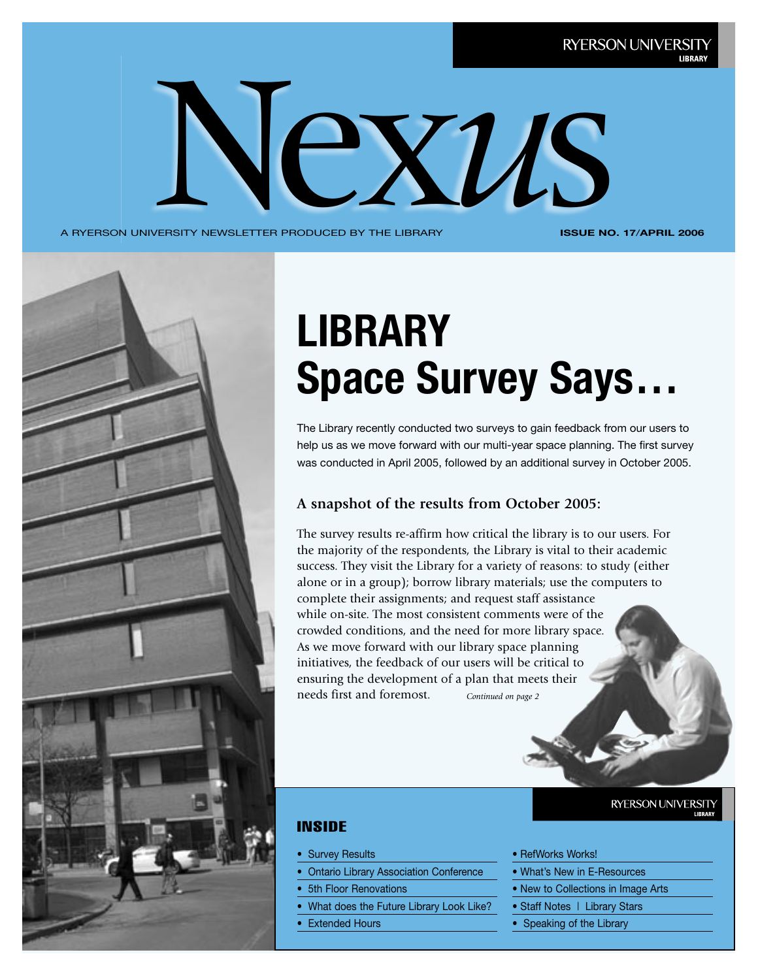

A RYERSON UNIVERSITY NEWSLETTER PRODUCED BY THE LIBRARY

**ISSUE NO. 17**/**APRIL 2006**



# **LIBRARY Space Survey Says…**

The Library recently conducted two surveys to gain feedback from our users to help us as we move forward with our multi-year space planning. The first survey was conducted in April 2005, followed by an additional survey in October 2005.

### **A snapshot of the results from October 2005:**

*Continued on page 2* The survey results re-affirm how critical the library is to our users. For the majority of the respondents, the Library is vital to their academic success. They visit the Library for a variety of reasons: to study (either alone or in a group); borrow library materials; use the computers to complete their assignments; and request staff assistance while on-site. The most consistent comments were of the crowded conditions, and the need for more library space. As we move forward with our library space planning initiatives, the feedback of our users will be critical to ensuring the development of a plan that meets their needs first and foremost.

### INSIDE

- Survey Results
- Ontario Library Association Conference
- 5th Floor Renovations
- What does the Future Library Look Like?
- **Extended Hours**

### **RYERSON UNIVERSITY**

- RefWorks Works!
- What's New in E-Resources
- New to Collections in Image Arts
- Staff Notes | Library Stars
- Speaking of the Library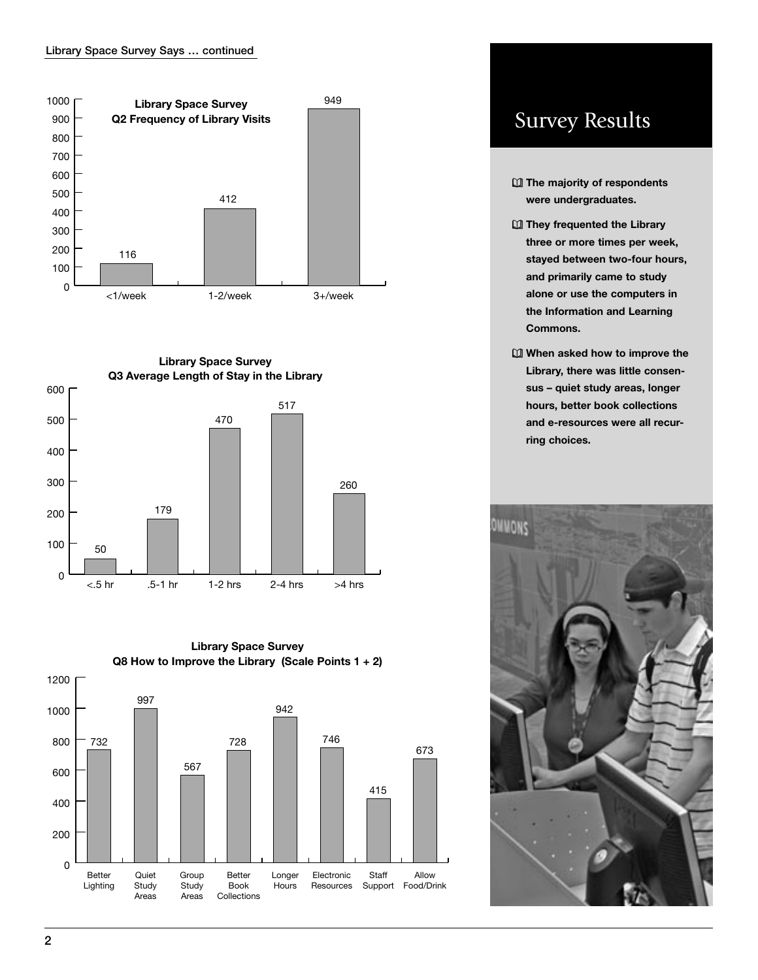![](_page_1_Figure_1.jpeg)

![](_page_1_Figure_2.jpeg)

![](_page_1_Figure_3.jpeg)

# **Survey Results**

- **Q** The majority of respondents were undergraduates.
- **QI** They frequented the Library three or more times per week, stayed between two-four hours, and primarily came to study alone or use the computers in the Information and Learning Commons.
- M When asked how to improve the Library, there was little consensus - quiet study areas, longer hours, better book collections and e-resources were all recurring choices.

![](_page_1_Picture_8.jpeg)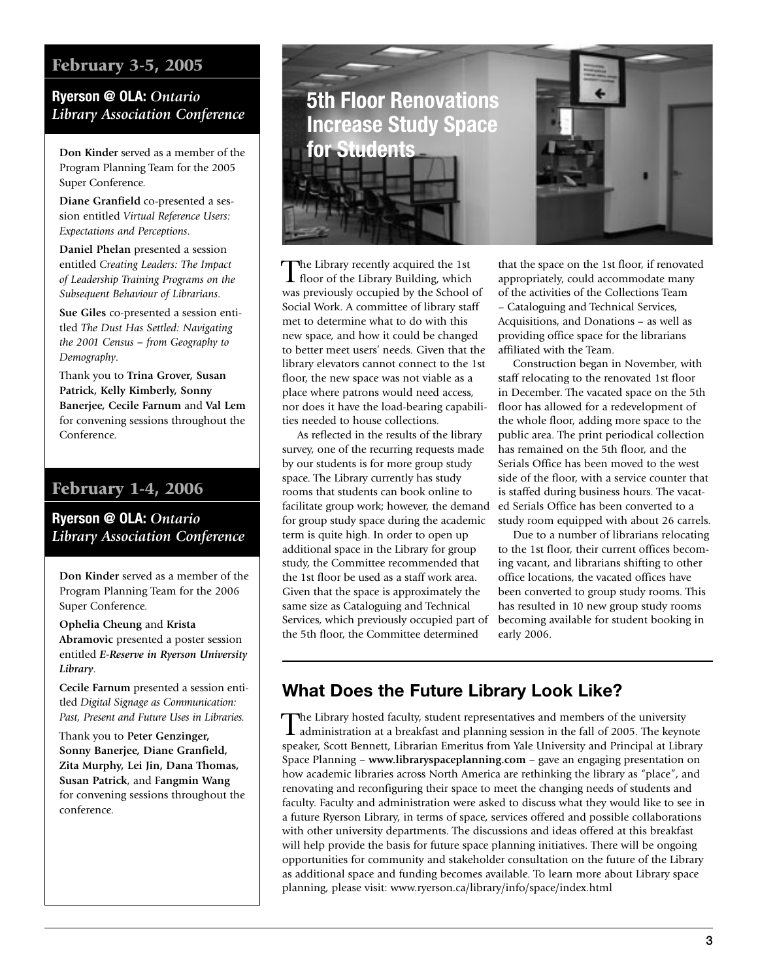# February 3-5, 2005

### **Ryerson @ OLA:** *Ontario Library Association Conference*

**Don Kinder** served as a member of the Program Planning Team for the 2005 Super Conference.

**Diane Granfield** co-presented a session entitled *Virtual Reference Users: Expectations and Perceptions*.

**Daniel Phelan** presented a session entitled *Creating Leaders: The Impact of Leadership Training Programs on the Subsequent Behaviour of Librarians*.

**Sue Giles** co-presented a session entitled *The Dust Has Settled: Navigating the 2001 Census – from Geography to Demography*.

Thank you to **Trina Grover, Susan Patrick, Kelly Kimberly, Sonny Banerjee, Cecile Farnum** and **Val Lem** for convening sessions throughout the Conference.

# February 1-4, 2006

**Ryerson @ OLA:** *Ontario Library Association Conference*

**Don Kinder** served as a member of the Program Planning Team for the 2006 Super Conference.

**Ophelia Cheung** and **Krista Abramovic** presented a poster session entitled *E-Reserve in Ryerson University Library*.

**Cecile Farnum** presented a session entitled *Digital Signage as Communication: Past, Present and Future Uses in Libraries.*

Thank you to **Peter Genzinger, Sonny Banerjee, Diane Granfield, Zita Murphy, Lei Jin, Dana Thomas, Susan Patrick**, and F**angmin Wang** for convening sessions throughout the conference.

![](_page_2_Picture_13.jpeg)

The Library recently acquired the 1st floor of the Library Building, which was previously occupied by the School of Social Work. A committee of library staff met to determine what to do with this new space, and how it could be changed to better meet users' needs. Given that the library elevators cannot connect to the 1st floor, the new space was not viable as a place where patrons would need access, nor does it have the load-bearing capabilities needed to house collections.

 As reflected in the results of the library survey, one of the recurring requests made by our students is for more group study space. The Library currently has study rooms that students can book online to facilitate group work; however, the demand for group study space during the academic term is quite high. In order to open up additional space in the Library for group study, the Committee recommended that the 1st floor be used as a staff work area. Given that the space is approximately the same size as Cataloguing and Technical Services, which previously occupied part of the 5th floor, the Committee determined

that the space on the 1st floor, if renovated appropriately, could accommodate many of the activities of the Collections Team – Cataloguing and Technical Services, Acquisitions, and Donations – as well as providing office space for the librarians affiliated with the Team.

 Construction began in November, with staff relocating to the renovated 1st floor in December. The vacated space on the 5th floor has allowed for a redevelopment of the whole floor, adding more space to the public area. The print periodical collection has remained on the 5th floor, and the Serials Office has been moved to the west side of the floor, with a service counter that is staffed during business hours. The vacated Serials Office has been converted to a study room equipped with about 26 carrels.

 Due to a number of librarians relocating to the 1st floor, their current offices becoming vacant, and librarians shifting to other office locations, the vacated offices have been converted to group study rooms. This has resulted in 10 new group study rooms becoming available for student booking in early 2006.

# **What Does the Future Library Look Like?**

The Library hosted faculty, student representatives and members of the university administration at a breakfast and planning session in the fall of 2005. The keynote speaker, Scott Bennett, Librarian Emeritus from Yale University and Principal at Library Space Planning – **www.libraryspaceplanning.com** – gave an engaging presentation on how academic libraries across North America are rethinking the library as "place", and renovating and reconfiguring their space to meet the changing needs of students and faculty. Faculty and administration were asked to discuss what they would like to see in a future Ryerson Library, in terms of space, services offered and possible collaborations with other university departments. The discussions and ideas offered at this breakfast will help provide the basis for future space planning initiatives. There will be ongoing opportunities for community and stakeholder consultation on the future of the Library as additional space and funding becomes available. To learn more about Library space planning, please visit: www.ryerson.ca/library/info/space/index.html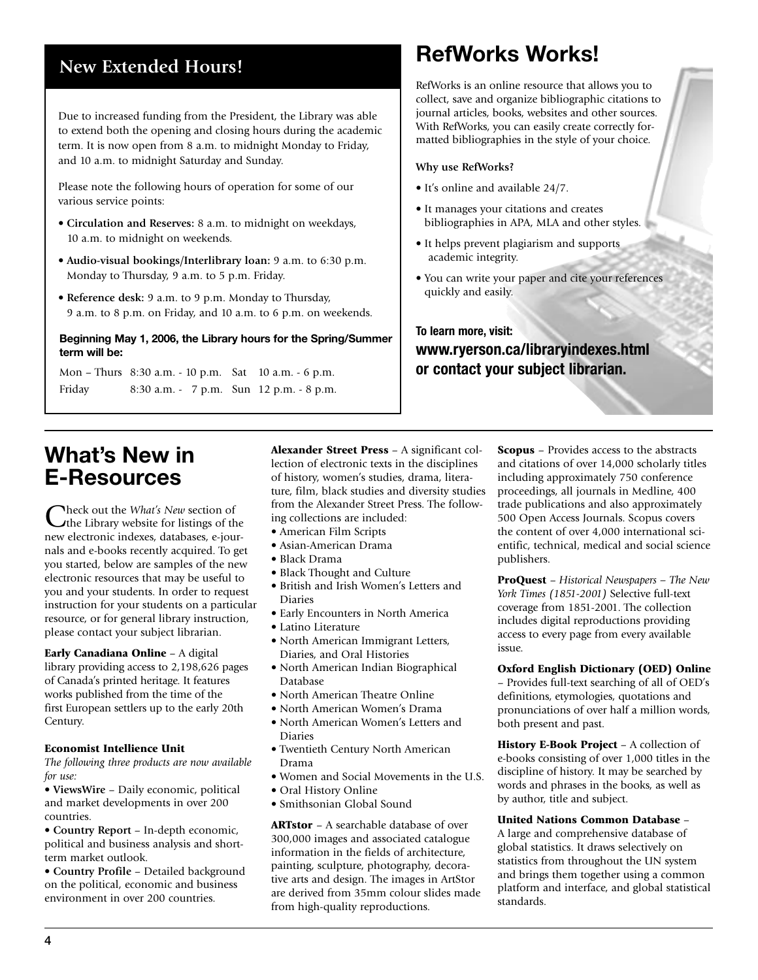# **New Extended Hours!**

Due to increased funding from the President, the Library was able to extend both the opening and closing hours during the academic term. It is now open from 8 a.m. to midnight Monday to Friday, and 10 a.m. to midnight Saturday and Sunday.

Please note the following hours of operation for some of our various service points:

- **Circulation and Reserves:** 8 a.m. to midnight on weekdays, 10 a.m. to midnight on weekends.
- **Audio-visual bookings/Interlibrary loan:** 9 a.m. to 6:30 p.m. Monday to Thursday, 9 a.m. to 5 p.m. Friday.
- **Reference desk:** 9 a.m. to 9 p.m. Monday to Thursday, 9 a.m. to 8 p.m. on Friday, and 10 a.m. to 6 p.m. on weekends.

#### **Beginning May 1, 2006, the Library hours for the Spring/Summer term will be:**

Mon – Thurs 8:30 a.m. - 10 p.m. Sat 10 a.m. - 6 p.m. Friday 8:30 a.m. - 7 p.m. Sun 12 p.m. - 8 p.m.

# **RefWorks Works!**

RefWorks is an online resource that allows you to collect, save and organize bibliographic citations to journal articles, books, websites and other sources. With RefWorks, you can easily create correctly formatted bibliographies in the style of your choice.

### **Why use RefWorks?**

- It's online and available 24/7.
- It manages your citations and creates bibliographies in APA, MLA and other styles.
- It helps prevent plagiarism and supports academic integrity.
- You can write your paper and cite your references quickly and easily.

## **To learn more, visit: www.ryerson.ca/libraryindexes.html or contact your subject librarian.**

# **What's New in E-Resources**

Check out the *What's New* section of the Library website for listings of the new electronic indexes, databases, e-journals and e-books recently acquired. To get you started, below are samples of the new electronic resources that may be useful to you and your students. In order to request instruction for your students on a particular resource, or for general library instruction, please contact your subject librarian.

#### Early Canadiana Online – A digital

library providing access to 2,198,626 pages of Canada's printed heritage. It features works published from the time of the first European settlers up to the early 20th Century.

#### Economist Intellience Unit

*The following three products are now available for use:*

• **ViewsWire** – Daily economic, political and market developments in over 200 countries.

• **Country Report** – In-depth economic, political and business analysis and shortterm market outlook.

• **Country Profile** – Detailed background on the political, economic and business environment in over 200 countries.

Alexander Street Press – A significant collection of electronic texts in the disciplines of history, women's studies, drama, literature, film, black studies and diversity studies from the Alexander Street Press. The following collections are included:

- American Film Scripts
- Asian-American Drama
- Black Drama
- Black Thought and Culture
- British and Irish Women's Letters and Diaries
- Early Encounters in North America
- Latino Literature
- North American Immigrant Letters, Diaries, and Oral Histories
- North American Indian Biographical Database
- North American Theatre Online
- North American Women's Drama
- North American Women's Letters and Diaries
- Twentieth Century North American Drama
- Women and Social Movements in the U.S.
- Oral History Online
- Smithsonian Global Sound

ARTstor – A searchable database of over 300,000 images and associated catalogue information in the fields of architecture, painting, sculpture, photography, decorative arts and design. The images in ArtStor are derived from 35mm colour slides made from high-quality reproductions.

Scopus – Provides access to the abstracts and citations of over 14,000 scholarly titles including approximately 750 conference proceedings, all journals in Medline, 400 trade publications and also approximately 500 Open Access Journals. Scopus covers the content of over 4,000 international scientific, technical, medical and social science publishers.

ProQuest – *Historical Newspapers – The New York Times (1851-2001)* Selective full-text coverage from 1851-2001. The collection includes digital reproductions providing access to every page from every available issue.

### Oxford English Dictionary (OED) Online

– Provides full-text searching of all of OED's definitions, etymologies, quotations and pronunciations of over half a million words, both present and past.

History E-Book Project – A collection of e-books consisting of over 1,000 titles in the discipline of history. It may be searched by words and phrases in the books, as well as by author, title and subject.

United Nations Common Database –

A large and comprehensive database of global statistics. It draws selectively on statistics from throughout the UN system and brings them together using a common platform and interface, and global statistical standards.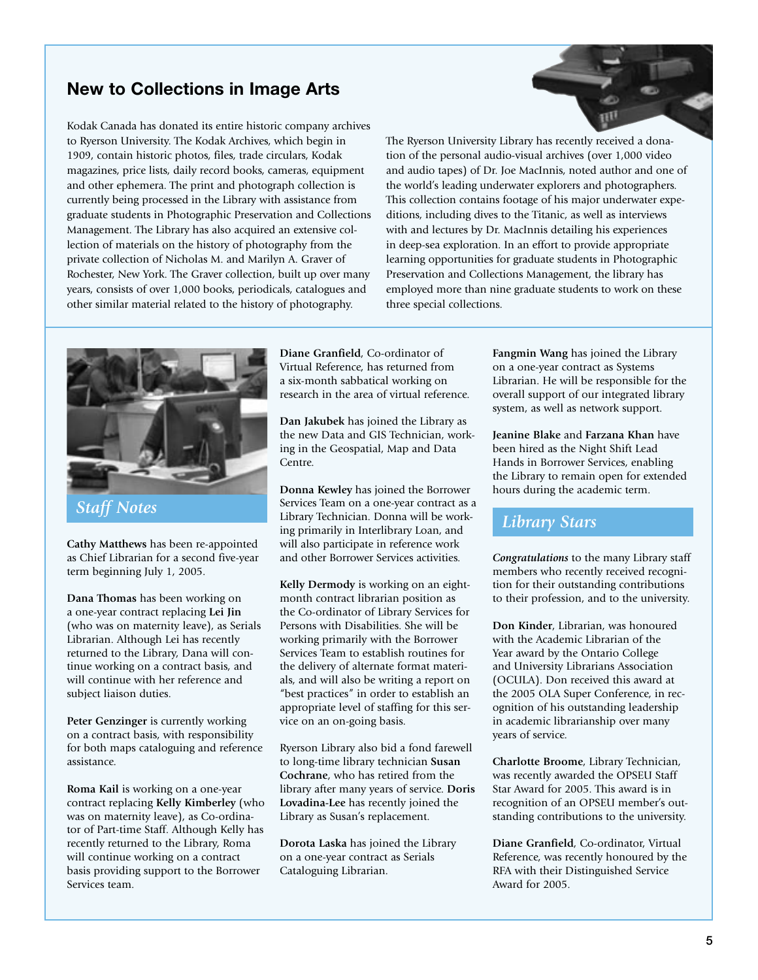# **New to Collections in Image Arts**

Kodak Canada has donated its entire historic company archives to Ryerson University. The Kodak Archives, which begin in 1909, contain historic photos, files, trade circulars, Kodak magazines, price lists, daily record books, cameras, equipment and other ephemera. The print and photograph collection is currently being processed in the Library with assistance from graduate students in Photographic Preservation and Collections Management. The Library has also acquired an extensive collection of materials on the history of photography from the private collection of Nicholas M. and Marilyn A. Graver of Rochester, New York. The Graver collection, built up over many years, consists of over 1,000 books, periodicals, catalogues and other similar material related to the history of photography.

The Ryerson University Library has recently received a donation of the personal audio-visual archives (over 1,000 video and audio tapes) of Dr. Joe MacInnis, noted author and one of the world's leading underwater explorers and photographers. This collection contains footage of his major underwater expeditions, including dives to the Titanic, as well as interviews with and lectures by Dr. MacInnis detailing his experiences in deep-sea exploration. In an effort to provide appropriate learning opportunities for graduate students in Photographic Preservation and Collections Management, the library has employed more than nine graduate students to work on these three special collections.

![](_page_4_Picture_3.jpeg)

**Cathy Matthews** has been re-appointed as Chief Librarian for a second five-year term beginning July 1, 2005.

**Dana Thomas** has been working on a one-year contract replacing **Lei Jin** (who was on maternity leave), as Serials Librarian. Although Lei has recently returned to the Library, Dana will continue working on a contract basis, and will continue with her reference and subject liaison duties.

**Peter Genzinger** is currently working on a contract basis, with responsibility for both maps cataloguing and reference assistance.

**Roma Kail** is working on a one-year contract replacing **Kelly Kimberley** (who was on maternity leave), as Co-ordinator of Part-time Staff. Although Kelly has recently returned to the Library, Roma will continue working on a contract basis providing support to the Borrower Services team.

**Diane Granfield**, Co-ordinator of Virtual Reference, has returned from a six-month sabbatical working on research in the area of virtual reference.

**Dan Jakubek** has joined the Library as the new Data and GIS Technician, working in the Geospatial, Map and Data Centre.

**Donna Kewley** has joined the Borrower Services Team on a one-year contract as a Staff Notes<br>
Library Technician. Donna will be work-<br> **Library Stars**<br> **Library Stars**<br> **Library Stars** ing primarily in Interlibrary Loan, and will also participate in reference work and other Borrower Services activities.

> **Kelly Dermody** is working on an eightmonth contract librarian position as the Co-ordinator of Library Services for Persons with Disabilities. She will be working primarily with the Borrower Services Team to establish routines for the delivery of alternate format materials, and will also be writing a report on "best practices" in order to establish an appropriate level of staffing for this service on an on-going basis.

Ryerson Library also bid a fond farewell to long-time library technician **Susan Cochrane**, who has retired from the library after many years of service. **Doris Lovadina-Lee** has recently joined the Library as Susan's replacement.

**Dorota Laska** has joined the Library on a one-year contract as Serials Cataloguing Librarian.

**Fangmin Wang** has joined the Library on a one-year contract as Systems Librarian. He will be responsible for the overall support of our integrated library system, as well as network support.

**Jeanine Blake** and **Farzana Khan** have been hired as the Night Shift Lead Hands in Borrower Services, enabling the Library to remain open for extended hours during the academic term.

*Congratulations* to the many Library staff members who recently received recognition for their outstanding contributions to their profession, and to the university.

**Don Kinder**, Librarian, was honoured with the Academic Librarian of the Year award by the Ontario College and University Librarians Association (OCULA). Don received this award at the 2005 OLA Super Conference, in recognition of his outstanding leadership in academic librarianship over many years of service.

**Charlotte Broome**, Library Technician, was recently awarded the OPSEU Staff Star Award for 2005. This award is in recognition of an OPSEU member's outstanding contributions to the university.

**Diane Granfield**, Co-ordinator, Virtual Reference, was recently honoured by the RFA with their Distinguished Service Award for 2005.